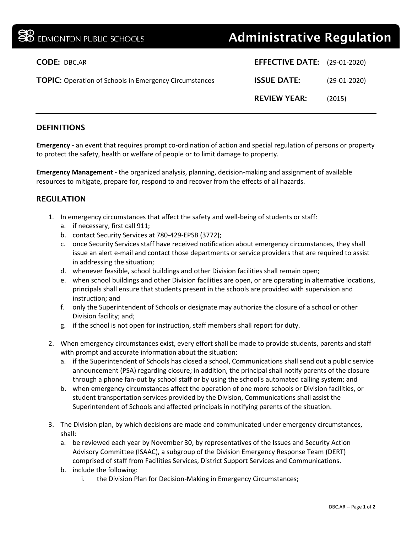| EDMONTON PUBLIC SCHOOLS                                       | <b>Administrative Regulation</b>    |                |
|---------------------------------------------------------------|-------------------------------------|----------------|
| <b>CODE: DBC.AR</b>                                           | <b>EFFECTIVE DATE:</b> (29-01-2020) |                |
| <b>TOPIC:</b> Operation of Schools in Emergency Circumstances | <b>ISSUE DATE:</b>                  | $(29-01-2020)$ |
|                                                               | <b>REVIEW YEAR:</b>                 | (2015)         |
|                                                               |                                     |                |

## **DEFINITIONS**

**Emergency** - an event that requires prompt co-ordination of action and special regulation of persons or property to protect the safety, health or welfare of people or to limit damage to property.

**Emergency Management** - the organized analysis, planning, decision-making and assignment of available resources to mitigate, prepare for, respond to and recover from the effects of all hazards.

## REGULATION

- 1. In emergency circumstances that affect the safety and well-being of students or staff:
	- a. if necessary, first call 911;
	- b. contact Security Services at 780-429-EPSB (3772);
	- c. once Security Services staff have received notification about emergency circumstances, they shall issue an alert e-mail and contact those departments or service providers that are required to assist in addressing the situation;
	- d. whenever feasible, school buildings and other Division facilities shall remain open;
	- e. when school buildings and other Division facilities are open, or are operating in alternative locations, principals shall ensure that students present in the schools are provided with supervision and instruction; and
	- f. only the Superintendent of Schools or designate may authorize the closure of a school or other Division facility; and;
	- g. if the school is not open for instruction, staff members shall report for duty.
- 2. When emergency circumstances exist, every effort shall be made to provide students, parents and staff with prompt and accurate information about the situation:
	- a. if the Superintendent of Schools has closed a school, Communications shall send out a public service announcement (PSA) regarding closure; in addition, the principal shall notify parents of the closure through a phone fan-out by school staff or by using the school's automated calling system; and
	- b. when emergency circumstances affect the operation of one more schools or Division facilities, or student transportation services provided by the Division, Communications shall assist the Superintendent of Schools and affected principals in notifying parents of the situation.
- 3. The Division plan, by which decisions are made and communicated under emergency circumstances, shall:
	- a. be reviewed each year by November 30, by representatives of the Issues and Security Action Advisory Committee (ISAAC), a subgroup of the Division Emergency Response Team (DERT) comprised of staff from Facilities Services, District Support Services and Communications.
	- b. include the following:
		- i. the Division Plan for Decision-Making in Emergency Circumstances;